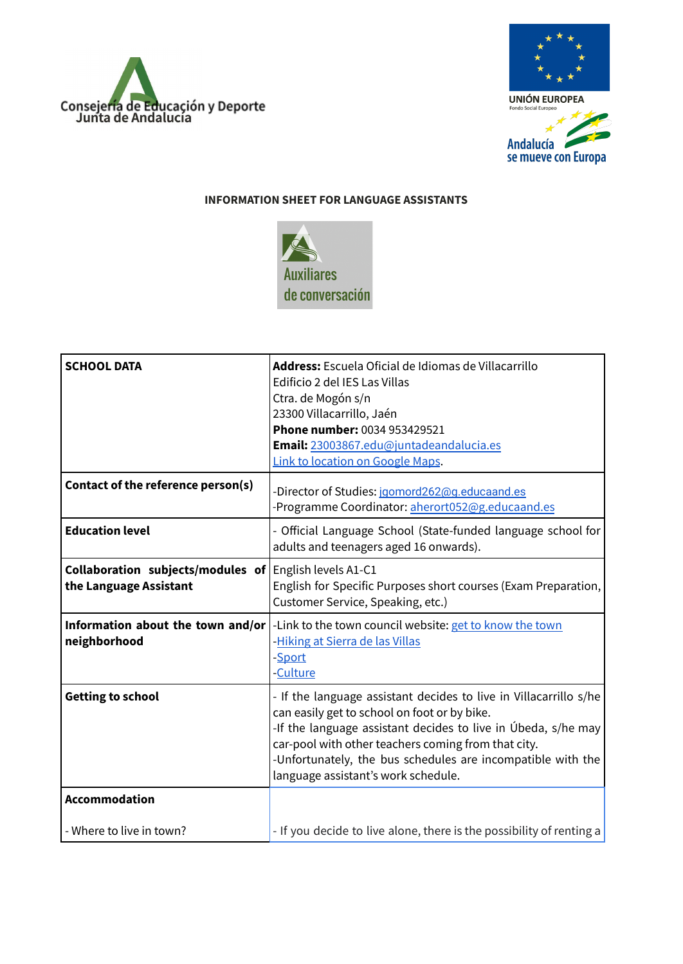



## **INFORMATION SHEET FOR LANGUAGE ASSISTANTS**



| <b>SCHOOL DATA</b>                                                                      | Address: Escuela Oficial de Idiomas de Villacarrillo<br>Edificio 2 del IES Las Villas<br>Ctra. de Mogón s/n<br>23300 Villacarrillo, Jaén<br>Phone number: 0034 953429521<br>Email: 23003867.edu@juntadeandalucia.es<br>Link to location on Google Maps.                                                                                         |
|-----------------------------------------------------------------------------------------|-------------------------------------------------------------------------------------------------------------------------------------------------------------------------------------------------------------------------------------------------------------------------------------------------------------------------------------------------|
| Contact of the reference person(s)                                                      | -Director of Studies: jgomord262@g.educaand.es<br>-Programme Coordinator: aherort052@g.educaand.es                                                                                                                                                                                                                                              |
| <b>Education level</b>                                                                  | - Official Language School (State-funded language school for<br>adults and teenagers aged 16 onwards).                                                                                                                                                                                                                                          |
| <b>Collaboration subjects/modules of English levels A1-C1</b><br>the Language Assistant | English for Specific Purposes short courses (Exam Preparation,<br>Customer Service, Speaking, etc.)                                                                                                                                                                                                                                             |
| neighborhood                                                                            | <b>Information about the town and/or</b> $\vert$ -Link to the town council website: get to know the town<br>-Hiking at Sierra de las Villas<br>-Sport<br>-Culture                                                                                                                                                                               |
| <b>Getting to school</b>                                                                | - If the language assistant decides to live in Villacarrillo s/he<br>can easily get to school on foot or by bike.<br>-If the language assistant decides to live in Úbeda, s/he may<br>car-pool with other teachers coming from that city.<br>-Unfortunately, the bus schedules are incompatible with the<br>language assistant's work schedule. |
| <b>Accommodation</b>                                                                    |                                                                                                                                                                                                                                                                                                                                                 |
| - Where to live in town?                                                                | - If you decide to live alone, there is the possibility of renting a                                                                                                                                                                                                                                                                            |